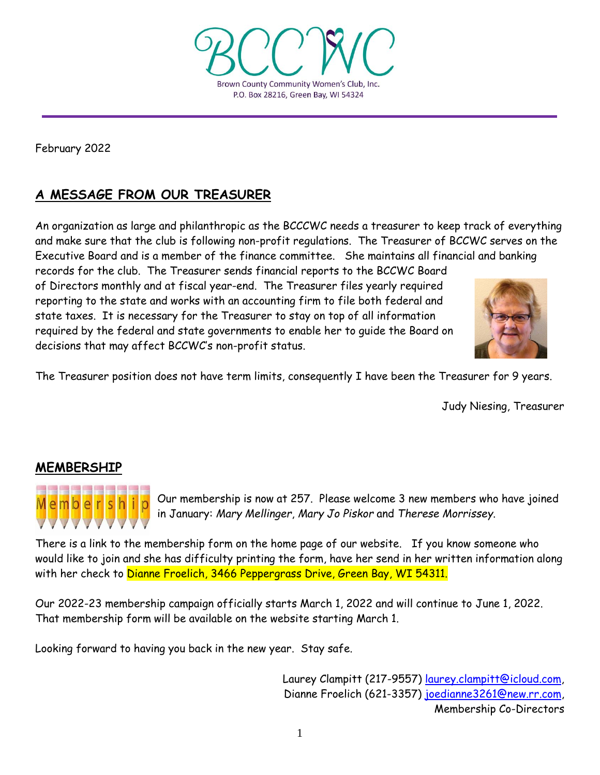

February 2022

# **A MESSAGE FROM OUR TREASURER**

An organization as large and philanthropic as the BCCCWC needs a treasurer to keep track of everything and make sure that the club is following non-profit regulations. The Treasurer of BCCWC serves on the Executive Board and is a member of the finance committee. She maintains all financial and banking

records for the club. The Treasurer sends financial reports to the BCCWC Board of Directors monthly and at fiscal year-end. The Treasurer files yearly required reporting to the state and works with an accounting firm to file both federal and state taxes. It is necessary for the Treasurer to stay on top of all information required by the federal and state governments to enable her to guide the Board on decisions that may affect BCCWC's non-profit status.



The Treasurer position does not have term limits, consequently I have been the Treasurer for 9 years.

Judy Niesing, Treasurer

# **MEMBERSHIP**



Our membership is now at 257. Please welcome 3 new members who have joined in January: *Mary Mellinger*, *Mary Jo Piskor* and *Therese Morrissey*.

There is a link to the membership form on the home page of our website. If you know someone who would like to join and she has difficulty printing the form, have her send in her written information along with her check to Dianne Froelich, 3466 Peppergrass Drive, Green Bay, WI 54311.

Our 2022-23 membership campaign officially starts March 1, 2022 and will continue to June 1, 2022. That membership form will be available on the website starting March 1.

Looking forward to having you back in the new year. Stay safe.

Laurey Clampitt (217-9557) [laurey.clampitt@icloud.com,](mailto:laurey.clampitt@icloud.com) Dianne Froelich (621-3357) [joedianne3261@new.rr.com,](mailto:joedianne3261@new.rr.com) Membership Co-Directors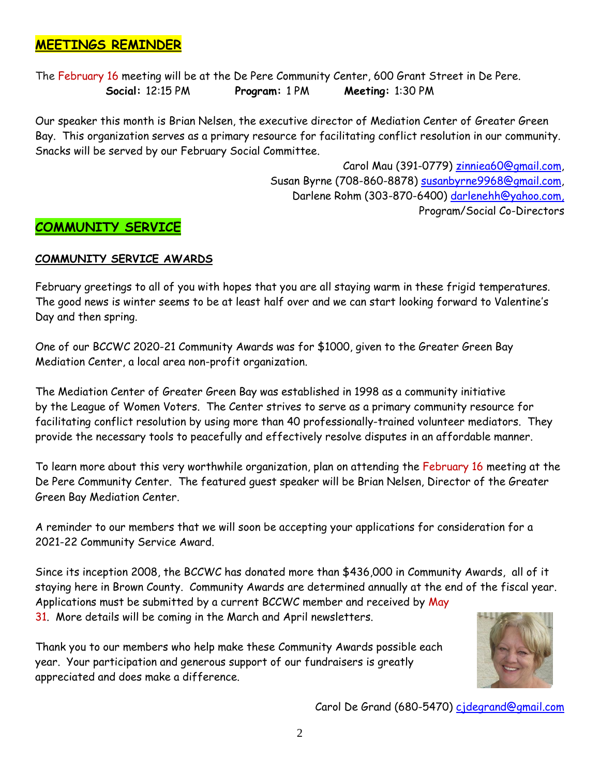# **MEETINGS REMINDER**

The February 16 meeting will be at the De Pere Community Center, 600 Grant Street in De Pere.  **Social:** 12:15 PM **Program:** 1 PM **Meeting:** 1:30 PM

Our speaker this month is Brian Nelsen, the executive director of Mediation Center of Greater Green Bay. This organization serves as a primary resource for facilitating conflict resolution in our community. Snacks will be served by our February Social Committee.

> Carol Mau (391-0779) [zinniea60@gmail.com,](mailto:zinniea60@gmail.com) Susan Byrne (708-860-8878) [susanbyrne9968@gmail.com,](mailto:susanbyrne9968@gmail.com) Darlene Rohm (303-870-6400) [darlenehh@yahoo.com,](mailto:darlenehh@yahoo.com) Program/Social Co-Directors

# **COMMUNITY SERVICE**

### **COMMUNITY SERVICE AWARDS**

February greetings to all of you with hopes that you are all staying warm in these frigid temperatures. The good news is winter seems to be at least half over and we can start looking forward to Valentine's Day and then spring.

One of our BCCWC 2020-21 Community Awards was for \$1000, given to the Greater Green Bay Mediation Center, a local area non-profit organization.

The Mediation Center of Greater Green Bay was established in 1998 as a community initiative by the League of Women Voters. The Center strives to serve as a primary community resource for facilitating conflict resolution by using more than 40 professionally-trained volunteer mediators. They provide the necessary tools to peacefully and effectively resolve disputes in an affordable manner.

To learn more about this very worthwhile organization, plan on attending the February 16 meeting at the De Pere Community Center. The featured guest speaker will be Brian Nelsen, Director of the Greater Green Bay Mediation Center.

A reminder to our members that we will soon be accepting your applications for consideration for a 2021-22 Community Service Award.

Since its inception 2008, the BCCWC has donated more than \$436,000 in Community Awards, all of it staying here in Brown County. Community Awards are determined annually at the end of the fiscal year. Applications must be submitted by a current BCCWC member and received by May 31. More details will be coming in the March and April newsletters.

Thank you to our members who help make these Community Awards possible each year. Your participation and generous support of our fundraisers is greatly appreciated and does make a difference.



Carol De Grand (680-5470) [cjdegrand@gmail.com](mailto:cjdegrand@gmail.com)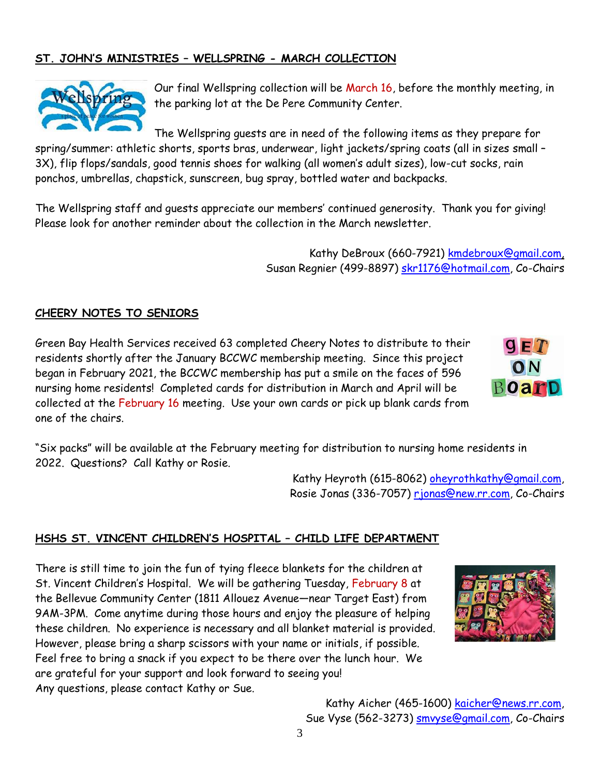# **ST. JOHN'S MINISTRIES – WELLSPRING - MARCH COLLECTION**



Our final Wellspring collection will be March 16, before the monthly meeting, in the parking lot at the De Pere Community Center.

The Wellspring guests are in need of the following items as they prepare for spring/summer: athletic shorts, sports bras, underwear, light jackets/spring coats (all in sizes small – 3X), flip flops/sandals, good tennis shoes for walking (all women's adult sizes), low-cut socks, rain ponchos, umbrellas, chapstick, sunscreen, bug spray, bottled water and backpacks.

The Wellspring staff and guests appreciate our members' continued generosity. Thank you for giving! Please look for another reminder about the collection in the March newsletter.

> Kathy DeBroux (660-7921) [kmdebroux@gmail.com,](mailto:kmdebroux@gmail.com) Susan Regnier (499-8897) [skr1176@hotmail.com,](mailto:skr1176@hotmail.com) Co-Chairs

### **CHEERY NOTES TO SENIORS**

Green Bay Health Services received 63 completed Cheery Notes to distribute to their residents shortly after the January BCCWC membership meeting. Since this project began in February 2021, the BCCWC membership has put a smile on the faces of 596 nursing home residents! Completed cards for distribution in March and April will be collected at the February 16 meeting. Use your own cards or pick up blank cards from one of the chairs.



Kathy Heyroth (615-8062) [oheyrothkathy@gmail.com,](mailto:oheyrothkathy@gmail.com) Rosie Jonas (336-7057) [rjonas@new.rr.com,](mailto:rjonas@new.rr.com) Co-Chairs

### **HSHS ST. VINCENT CHILDREN'S HOSPITAL – CHILD LIFE DEPARTMENT**

There is still time to join the fun of tying fleece blankets for the children at St. Vincent Children's Hospital. We will be gathering Tuesday, February 8 at the Bellevue Community Center (1811 Allouez Avenue—near Target East) from 9AM-3PM. Come anytime during those hours and enjoy the pleasure of helping these children. No experience is necessary and all blanket material is provided. However, please bring a sharp scissors with your name or initials, if possible. Feel free to bring a snack if you expect to be there over the lunch hour. We are grateful for your support and look forward to seeing you! Any questions, please contact Kathy or Sue.



 $9ET$ 

ON

**Board** 

Kathy Aicher (465-1600) [kaicher@news.rr.com,](mailto:kaicher@news.rr.com) Sue Vyse (562-3273) **smvyse@gmail.com**, Co-Chairs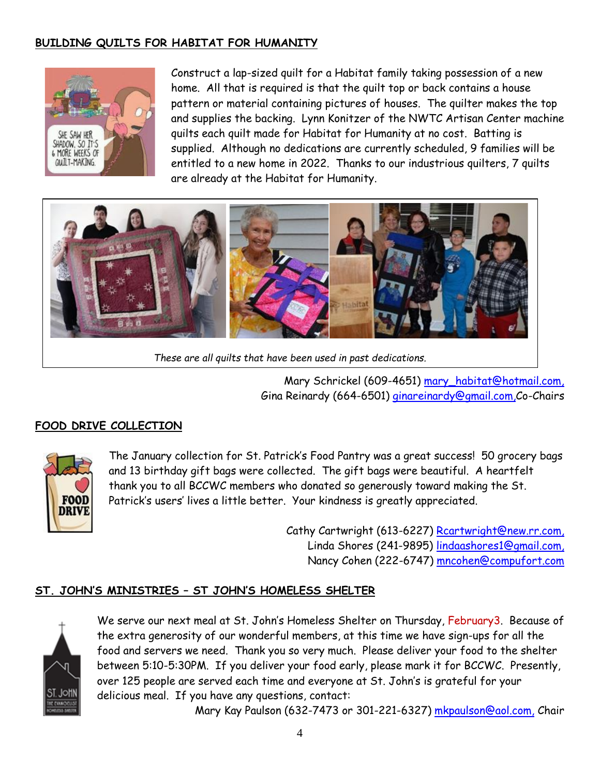# **BUILDING QUILTS FOR HABITAT FOR HUMANITY**



Construct a lap-sized quilt for a Habitat family taking possession of a new home. All that is required is that the quilt top or back contains a house pattern or material containing pictures of houses. The quilter makes the top and supplies the backing. Lynn Konitzer of the NWTC Artisan Center machine quilts each quilt made for Habitat for Humanity at no cost. Batting is supplied. Although no dedications are currently scheduled, 9 families will be entitled to a new home in 2022. Thanks to our industrious quilters, 7 quilts are already at the Habitat for Humanity.



*These are all quilts that have been used in past dedications.*

Mary Schrickel (609-4651) [mary\\_habitat@hotmail.com,](mailto:mary_habitat@hotmail.com) Gina Reinardy (664-6501) [ginareinardy@gmail.com,](mailto:ginareinardy@gmail.com)Co-Chairs

# **FOOD DRIVE COLLECTION**



The January collection for St. Patrick's Food Pantry was a great success! 50 grocery bags and 13 birthday gift bags were collected. The gift bags were beautiful. A heartfelt thank you to all BCCWC members who donated so generously toward making the St. Patrick's users' lives a little better. Your kindness is greatly appreciated.

> Cathy Cartwright (613-6227) [Rcartwright@new.rr.com,](mailto:Rcartwright@new.rr.com) Linda Shores (241-9895) [lindaashores1@gmail.com,](mailto:lindaashores1@gmail.com) Nancy Cohen (222-6747) [mncohen@compufort.com](mailto:mncohen@compufort.com)

### **ST. JOHN'S MINISTRIES – ST JOHN'S HOMELESS SHELTER**



We serve our next meal at St. John's Homeless Shelter on Thursday, February3. Because of the extra generosity of our wonderful members, at this time we have sign-ups for all the food and servers we need. Thank you so very much. Please deliver your food to the shelter between 5:10-5:30PM. If you deliver your food early, please mark it for BCCWC. Presently, over 125 people are served each time and everyone at St. John's is grateful for your delicious meal. If you have any questions, contact:

Mary Kay Paulson (632-7473 or 301-221-6327) [mkpaulson@aol.com,](mailto:mkpaulson@aol.com) Chair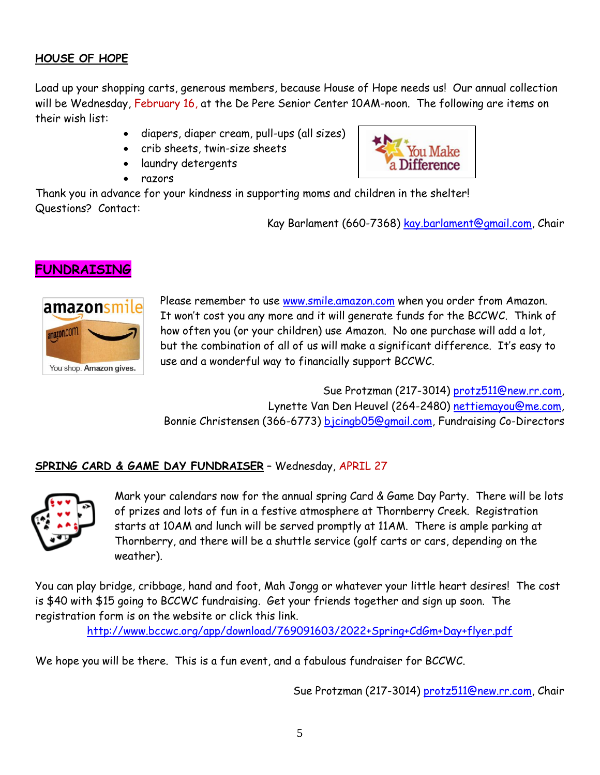# **HOUSE OF HOPE**

Load up your shopping carts, generous members, because House of Hope needs us! Our annual collection will be Wednesday, February 16, at the De Pere Senior Center 10AM-noon. The following are items on their wish list:

- diapers, diaper cream, pull-ups (all sizes)
- crib sheets, twin-size sheets
- laundry detergents
- razors



Thank you in advance for your kindness in supporting moms and children in the shelter! Questions? Contact:

Kay Barlament (660-7368) [kay.barlament@gmail.](mailto:kay.barlament@gmail)com, Chair

# **FUNDRAISING**



Please remember to use [www.smile.amazon.com](http://www.smile.amazon.com/) when you order from Amazon. It won't cost you any more and it will generate funds for the BCCWC. Think of how often you (or your children) use Amazon. No one purchase will add a lot, but the combination of all of us will make a significant difference. It's easy to use and a wonderful way to financially support BCCWC.

Sue Protzman (217-3014) [protz511@new.rr.com,](mailto:protz511@new.rr.com) Lynette Van Den Heuvel (264-2480) [nettiemayou@me.com,](mailto:nettiemayou@me.com) Bonnie Christensen (366-6773) [bjcingb05@gmail.com,](mailto:bjcingb05@gmail.com) Fundraising Co-Directors

## **SPRING CARD & GAME DAY FUNDRAISER** – Wednesday, APRIL 27



Mark your calendars now for the annual spring Card & Game Day Party. There will be lots of prizes and lots of fun in a festive atmosphere at Thornberry Creek. Registration starts at 10AM and lunch will be served promptly at 11AM. There is ample parking at Thornberry, and there will be a shuttle service (golf carts or cars, depending on the weather).

You can play bridge, cribbage, hand and foot, Mah Jongg or whatever your little heart desires! The cost is \$40 with \$15 going to BCCWC fundraising. Get your friends together and sign up soon. The registration form is on the website or click this link.

<http://www.bccwc.org/app/download/769091603/2022+Spring+CdGm+Day+flyer.pdf>

We hope you will be there. This is a fun event, and a fabulous fundraiser for BCCWC.

Sue Protzman (217-3014) [protz511@new.rr.com,](mailto:protz511@new.rr.com) Chair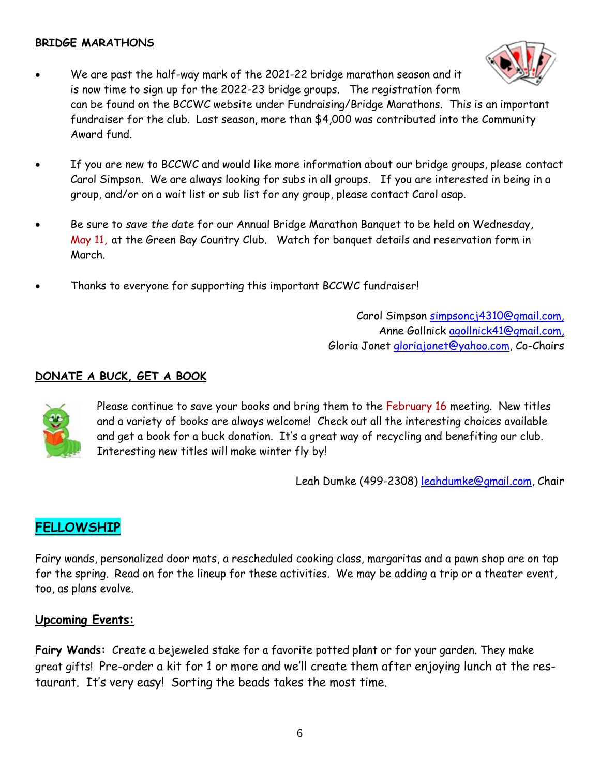## **BRIDGE MARATHONS**

- We are past the half-way mark of the 2021-22 bridge marathon season and it is now time to sign up for the 2022-23 bridge groups. The registration form can be found on the BCCWC website under Fundraising/Bridge Marathons. This is an important fundraiser for the club. Last season, more than \$4,000 was contributed into the Community Award fund.
- If you are new to BCCWC and would like more information about our bridge groups, please contact Carol Simpson. We are always looking for subs in all groups. If you are interested in being in a group, and/or on a wait list or sub list for any group, please contact Carol asap.
- Be sure to *save the date* for our Annual Bridge Marathon Banquet to be held on Wednesday, May 11, at the Green Bay Country Club. Watch for banquet details and reservation form in March.
- Thanks to everyone for supporting this important BCCWC fundraiser!

Carol Simpson [simpsoncj4310@gmail.com,](mailto:simpsoncj4310@gmail.com) Anne Gollnick [agollnick41@gmail.com,](mailto:agollnick41@gmail.com) Gloria Jonet [gloriajonet@yahoo.com,](mailto:gloriajonet@yahoo.com) Co-Chairs

## **DONATE A BUCK, GET A BOOK**



Please continue to save your books and bring them to the February 16 meeting. New titles and a variety of books are always welcome! Check out all the interesting choices available and get a book for a buck donation. It's a great way of recycling and benefiting our club. Interesting new titles will make winter fly by!

Leah Dumke (499-2308) [leahdumke@gmail.com,](mailto:leahdumke@gmail.com) Chair

# **FELLOWSHIP**

Fairy wands, personalized door mats, a rescheduled cooking class, margaritas and a pawn shop are on tap for the spring. Read on for the lineup for these activities. We may be adding a trip or a theater event, too, as plans evolve.

### **Upcoming Events:**

**Fairy Wands:** Create a bejeweled stake for a favorite potted plant or for your garden. They make great gifts! Pre-order a kit for 1 or more and we'll create them after enjoying lunch at the restaurant. It's very easy! Sorting the beads takes the most time.

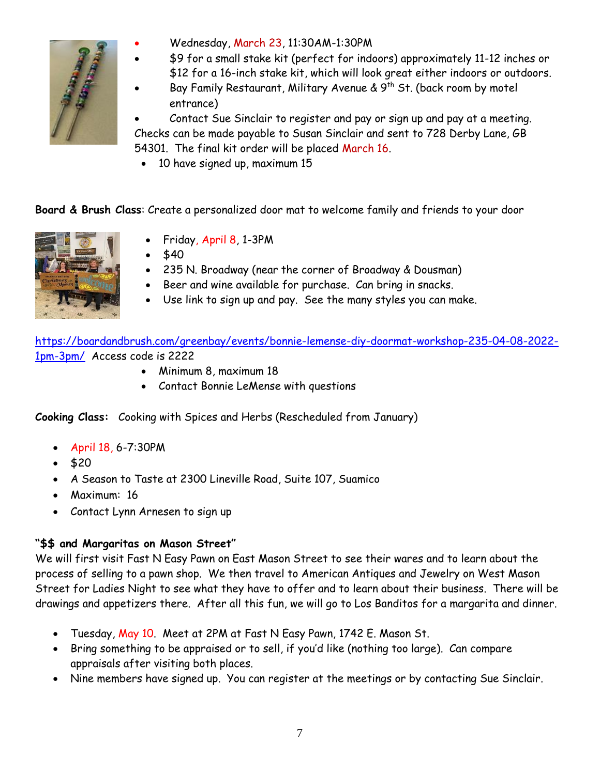

- Wednesday, March 23, 11:30AM-1:30PM
- \$9 for a small stake kit (perfect for indoors) approximately 11-12 inches or
- \$12 for a 16-inch stake kit, which will look great either indoors or outdoors.
- Bay Family Restaurant, Military Avenue &  $9^{th}$  St. (back room by motel entrance)

 Contact Sue Sinclair to register and pay or sign up and pay at a meeting. Checks can be made payable to Susan Sinclair and sent to 728 Derby Lane, GB 54301. The final kit order will be placed March 16.

• 10 have signed up, maximum 15

**Board & Brush Class**: Create a personalized door mat to welcome family and friends to your door



- Friday, April 8, 1-3PM
- \$40
- 235 N. Broadway (near the corner of Broadway & Dousman)
- Beer and wine available for purchase. Can bring in snacks.
- Use link to sign up and pay. See the many styles you can make.

[https://boardandbrush.com/greenbay/events/bonnie](https://boardandbrush.com/greenbay/events/bonnie-lemense-diy-doormat-workshop-235-04-08-2022-1pm-3pm/)-lemense-diy-doormat-workshop-235-04-08-2022- 1pm-[3pm/](https://boardandbrush.com/greenbay/events/bonnie-lemense-diy-doormat-workshop-235-04-08-2022-1pm-3pm/) Access code is 2222

- Minimum 8, maximum 18
- Contact Bonnie LeMense with questions

**Cooking Class:** Cooking with Spices and Herbs (Rescheduled from January)

- April 18, 6-7:30PM
- $520$
- A Season to Taste at 2300 Lineville Road, Suite 107, Suamico
- Maximum: 16
- Contact Lynn Arnesen to sign up

## **"\$\$ and Margaritas on Mason Street"**

We will first visit Fast N Easy Pawn on East Mason Street to see their wares and to learn about the process of selling to a pawn shop. We then travel to American Antiques and Jewelry on West Mason Street for Ladies Night to see what they have to offer and to learn about their business. There will be drawings and appetizers there. After all this fun, we will go to Los Banditos for a margarita and dinner.

- Tuesday, May 10. Meet at 2PM at Fast N Easy Pawn, 1742 E. Mason St.
- Bring something to be appraised or to sell, if you'd like (nothing too large). Can compare appraisals after visiting both places.
- Nine members have signed up. You can register at the meetings or by contacting Sue Sinclair.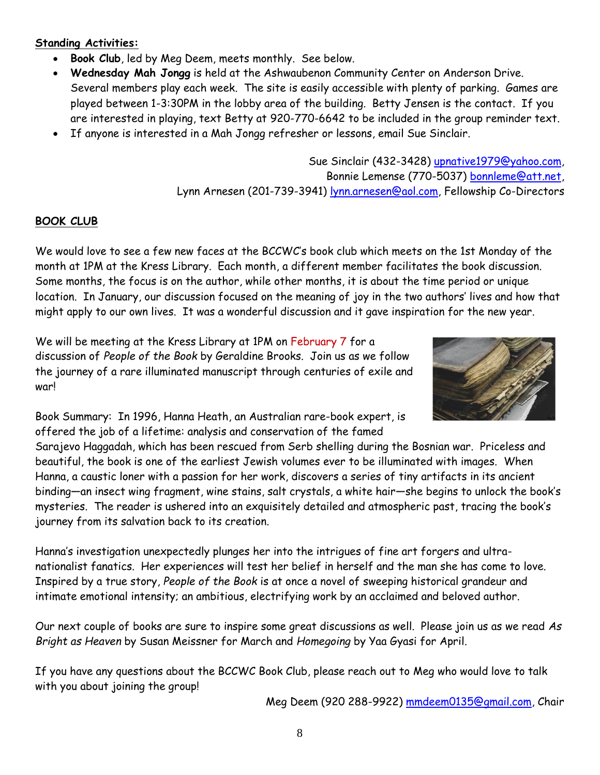## **Standing Activities:**

- **Book Club**, led by Meg Deem, meets monthly. See below.
- **Wednesday Mah Jongg** is held at the Ashwaubenon Community Center on Anderson Drive. Several members play each week. The site is easily accessible with plenty of parking. Games are played between 1-3:30PM in the lobby area of the building. Betty Jensen is the contact. If you are interested in playing, text Betty at 920-770-6642 to be included in the group reminder text.
- If anyone is interested in a Mah Jongg refresher or lessons, email Sue Sinclair.

Sue Sinclair (432-3428) [upnative1979@yahoo.com,](mailto:upnative1979@yahoo.com) Bonnie Lemense (770-5037) [bonnleme@att.net,](mailto:bonnleme@att.net) Lynn Arnesen (201-739-3941) [lynn.arnesen@aol.com,](mailto:lynn.arnesen@aol.com) Fellowship Co-Directors

## **BOOK CLUB**

We would love to see a few new faces at the BCCWC's book club which meets on the 1st Monday of the month at 1PM at the Kress Library. Each month, a different member facilitates the book discussion. Some months, the focus is on the author, while other months, it is about the time period or unique location. In January, our discussion focused on the meaning of joy in the two authors' lives and how that might apply to our own lives. It was a wonderful discussion and it gave inspiration for the new year.

We will be meeting at the Kress Library at 1PM on February 7 for a discussion of *People of the Book* by Geraldine Brooks. Join us as we follow the journey of a rare illuminated manuscript through centuries of exile and war!



Book Summary: In 1996, Hanna Heath, an Australian rare-book expert, is offered the job of a lifetime: analysis and conservation of the famed

Sarajevo Haggadah, which has been rescued from Serb shelling during the Bosnian war. Priceless and beautiful, the book is one of the earliest Jewish volumes ever to be illuminated with images. When Hanna, a caustic loner with a passion for her work, discovers a series of tiny artifacts in its ancient binding—an insect wing fragment, wine stains, salt crystals, a white hair—she begins to unlock the book's mysteries. The reader is ushered into an exquisitely detailed and atmospheric past, tracing the book's journey from its salvation back to its creation.

Hanna's investigation unexpectedly plunges her into the intrigues of fine art forgers and ultranationalist fanatics. Her experiences will test her belief in herself and the man she has come to love. Inspired by a true story, *People of the Book* is at once a novel of sweeping historical grandeur and intimate emotional intensity; an ambitious, electrifying work by an acclaimed and beloved author.

Our next couple of books are sure to inspire some great discussions as well. Please join us as we read *As Bright as Heaven* by Susan Meissner for March and *Homegoing* by Yaa Gyasi for April.

If you have any questions about the BCCWC Book Club, please reach out to Meg who would love to talk with you about joining the group!

Meg Deem (920 288-9922) [mmdeem0135@gmail.com,](mailto:mmdeem0135@gmail.com) Chair